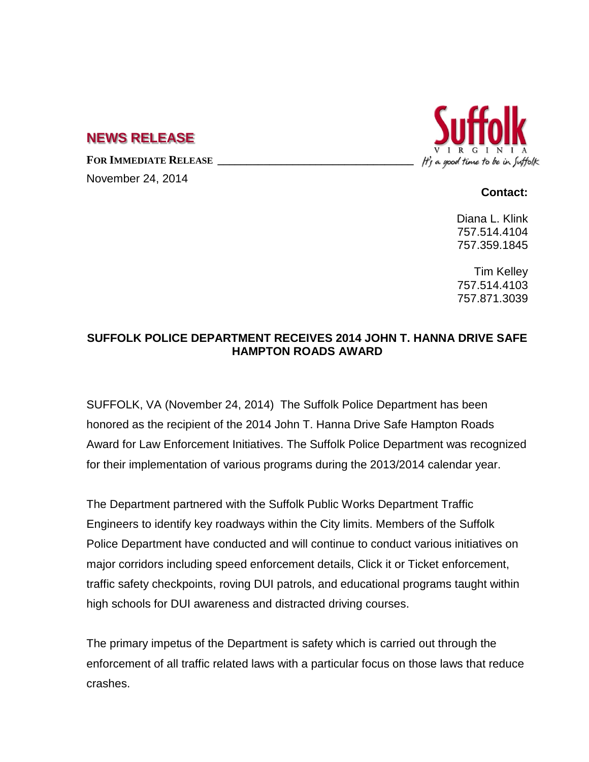## **NEWS RELEASE**

**FOR IMMEDIATE RELEASE \_\_\_\_\_\_\_\_\_\_\_\_\_\_\_\_\_\_\_\_\_\_\_\_\_\_\_\_\_\_\_\_\_\_**

November 24, 2014



## **Contact:**

Diana L. Klink 757.514.4104 757.359.1845

Tim Kelley 757.514.4103 757.871.3039

## **SUFFOLK POLICE DEPARTMENT RECEIVES 2014 JOHN T. HANNA DRIVE SAFE HAMPTON ROADS AWARD**

SUFFOLK, VA (November 24, 2014) The Suffolk Police Department has been honored as the recipient of the 2014 John T. Hanna Drive Safe Hampton Roads Award for Law Enforcement Initiatives. The Suffolk Police Department was recognized for their implementation of various programs during the 2013/2014 calendar year.

The Department partnered with the Suffolk Public Works Department Traffic Engineers to identify key roadways within the City limits. Members of the Suffolk Police Department have conducted and will continue to conduct various initiatives on major corridors including speed enforcement details, Click it or Ticket enforcement, traffic safety checkpoints, roving DUI patrols, and educational programs taught within high schools for DUI awareness and distracted driving courses.

The primary impetus of the Department is safety which is carried out through the enforcement of all traffic related laws with a particular focus on those laws that reduce crashes.